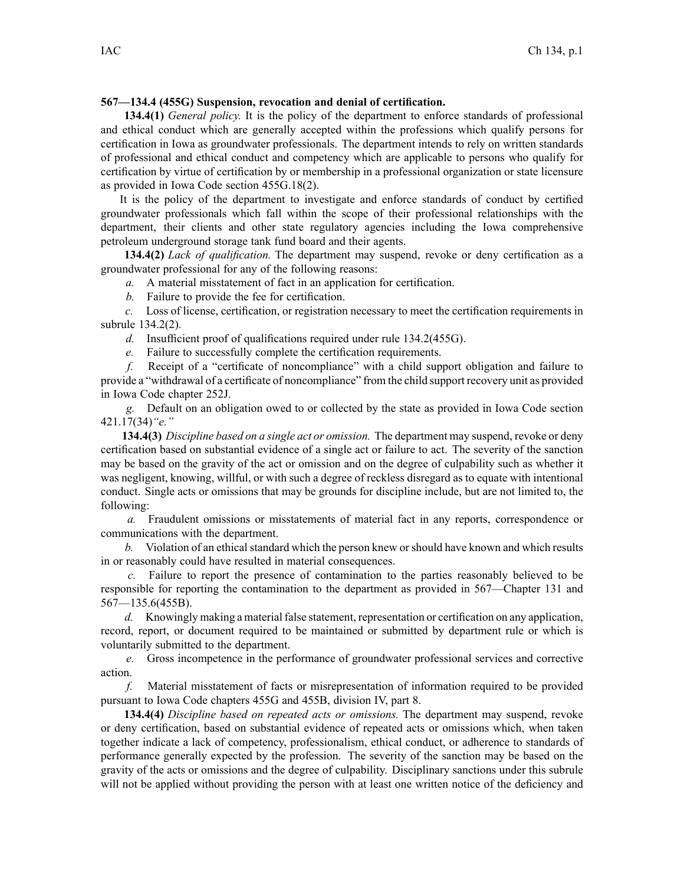## **567—134.4 (455G) Suspension, revocation and denial of certification.**

**134.4(1)** *General policy.* It is the policy of the department to enforce standards of professional and ethical conduct which are generally accepted within the professions which qualify persons for certification in Iowa as groundwater professionals. The department intends to rely on written standards of professional and ethical conduct and competency which are applicable to persons who qualify for certification by virtue of certification by or membership in <sup>a</sup> professional organization or state licensure as provided in Iowa Code section 455G.18(2).

It is the policy of the department to investigate and enforce standards of conduct by certified groundwater professionals which fall within the scope of their professional relationships with the department, their clients and other state regulatory agencies including the Iowa comprehensive petroleum underground storage tank fund board and their agents.

**134.4(2)** *Lack of qualification.* The department may suspend, revoke or deny certification as <sup>a</sup> groundwater professional for any of the following reasons:

*a.* A material misstatement of fact in an application for certification.

*b.* Failure to provide the fee for certification.

*c.* Loss of license, certification, or registration necessary to meet the certification requirements in subrule 134.2(2).

*d.* Insufficient proof of qualifications required under rule 134.2(455G).

*e.* Failure to successfully complete the certification requirements.

*f.* Receipt of <sup>a</sup> "certificate of noncompliance" with <sup>a</sup> child suppor<sup>t</sup> obligation and failure to provide <sup>a</sup> "withdrawal of <sup>a</sup> certificate of noncompliance" from the child suppor<sup>t</sup> recovery unit as provided in Iowa Code chapter 252J.

*g.* Default on an obligation owed to or collected by the state as provided in Iowa Code section 421.17(34)*"e."*

**134.4(3)** *Discipline based on <sup>a</sup> single act or omission.* The department may suspend, revoke or deny certification based on substantial evidence of <sup>a</sup> single act or failure to act. The severity of the sanction may be based on the gravity of the act or omission and on the degree of culpability such as whether it was negligent, knowing, willful, or with such <sup>a</sup> degree of reckless disregard as to equate with intentional conduct. Single acts or omissions that may be grounds for discipline include, but are not limited to, the following:

*a.* Fraudulent omissions or misstatements of material fact in any reports, correspondence or communications with the department.

*b.* Violation of an ethical standard which the person knew or should have known and which results in or reasonably could have resulted in material consequences.

*c.* Failure to repor<sup>t</sup> the presence of contamination to the parties reasonably believed to be responsible for reporting the contamination to the department as provided in 567—Chapter 131 and 567—135.6(455B).

*d.* Knowingly making <sup>a</sup> material false statement, representation or certification on any application, record, report, or document required to be maintained or submitted by department rule or which is voluntarily submitted to the department.

*e.* Gross incompetence in the performance of groundwater professional services and corrective action.

*f.* Material misstatement of facts or misrepresentation of information required to be provided pursuan<sup>t</sup> to Iowa Code chapters 455G and 455B, division IV, par<sup>t</sup> 8.

**134.4(4)** *Discipline based on repeated acts or omissions.* The department may suspend, revoke or deny certification, based on substantial evidence of repeated acts or omissions which, when taken together indicate <sup>a</sup> lack of competency, professionalism, ethical conduct, or adherence to standards of performance generally expected by the profession. The severity of the sanction may be based on the gravity of the acts or omissions and the degree of culpability. Disciplinary sanctions under this subrule will not be applied without providing the person with at least one written notice of the deficiency and